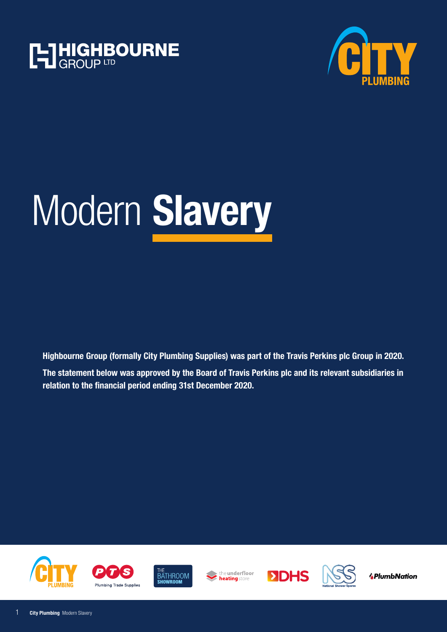





**Highbourne Group (formally City Plumbing Supplies) was part of the Travis Perkins plc Group in 2020. The statement below was approved by the Board of Travis Perkins plc and its relevant subsidiaries in relation to the financial period ending 31st December 2020.**







the **underfloor** heating store





**APlumbNation**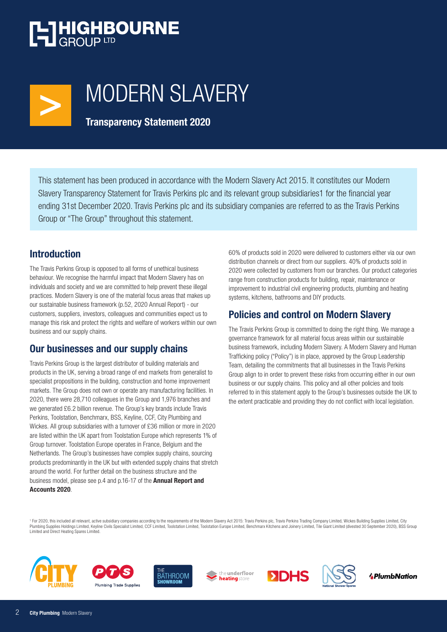## **T-THIGHBOURNE**



## MODERN SLAVERY

**Transparency Statement 2020**

This statement has been produced in accordance with the Modern Slavery Act 2015. It constitutes our Modern Slavery Transparency Statement for Travis Perkins plc and its relevant group subsidiaries1 for the financial year ending 31st December 2020. Travis Perkins plc and its subsidiary companies are referred to as the Travis Perkins Group or "The Group" throughout this statement.

### **Introduction**

The Travis Perkins Group is opposed to all forms of unethical business behaviour. We recognise the harmful impact that Modern Slavery has on individuals and society and we are committed to help prevent these illegal practices. Modern Slavery is one of the material focus areas that makes up our sustainable business framework (p.52, 2020 Annual Report) - our customers, suppliers, investors, colleagues and communities expect us to manage this risk and protect the rights and welfare of workers within our own business and our supply chains.

## **Our businesses and our supply chains**

Travis Perkins Group is the largest distributor of building materials and products in the UK, serving a broad range of end markets from generalist to specialist propositions in the building, construction and home improvement markets. The Group does not own or operate any manufacturing facilities. In 2020, there were 28,710 colleagues in the Group and 1,976 branches and we generated £6.2 billion revenue. The Group's key brands include Travis Perkins, Toolstation, Benchmarx, BSS, Keyline, CCF, City Plumbing and Wickes. All group subsidiaries with a turnover of £36 million or more in 2020 are listed within the UK apart from Toolstation Europe which represents 1% of Group turnover. Toolstation Europe operates in France, Belgium and the Netherlands. The Group's businesses have complex supply chains, sourcing products predominantly in the UK but with extended supply chains that stretch around the world. For further detail on the business structure and the business model, please see p.4 and p.16-17 of the **Annual Report and Accounts 2020**.

60% of products sold in 2020 were delivered to customers either via our own distribution channels or direct from our suppliers. 40% of products sold in 2020 were collected by customers from our branches. Our product categories range from construction products for building, repair, maintenance or improvement to industrial civil engineering products, plumbing and heating systems, kitchens, bathrooms and DIY products.

## **Policies and control on Modern Slavery**

The Travis Perkins Group is committed to doing the right thing. We manage a governance framework for all material focus areas within our sustainable business framework, including Modern Slavery. A Modern Slavery and Human Trafficking policy ("Policy") is in place, approved by the Group Leadership Team, detailing the commitments that all businesses in the Travis Perkins Group align to in order to prevent these risks from occurring either in our own business or our supply chains. This policy and all other policies and tools referred to in this statement apply to the Group's businesses outside the UK to the extent practicable and providing they do not conflict with local legislation.

<sup>1</sup> For 2020, this included all relevant, active subsidiary companies according to the requirements of the Modern Slavery Act 2015: Travis Perkins plc, Travis Perkins Trading Company Limited, Wickes Building Supplies Limit Plumbing Supplies Holdings Limited, Keyline Civils Specialist Limited, CCF Limited, Toolstation Limited, Toolstation Europe Limited, Benchmarx Kitchens and Joinery Limited, Tile Giant Limited (divested 30 September 2020), Limited and Direct Heating Spares Limited.













**APlumbNation**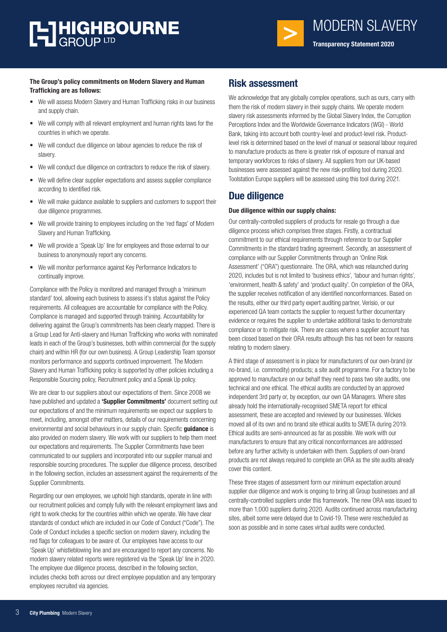# **T-THIGHBOURNE**



#### **The Group's policy commitments on Modern Slavery and Human Trafficking are as follows:**

- We will assess Modern Slavery and Human Trafficking risks in our business and supply chain.
- We will comply with all relevant employment and human rights laws for the countries in which we operate.
- We will conduct due diligence on labour agencies to reduce the risk of slavery.
- We will conduct due diligence on contractors to reduce the risk of slavery.
- We will define clear supplier expectations and assess supplier compliance according to identified risk.
- We will make guidance available to suppliers and customers to support their due diligence programmes.
- We will provide training to employees including on the 'red flags' of Modern Slavery and Human Trafficking.
- We will provide a 'Speak Up' line for employees and those external to our business to anonymously report any concerns.
- We will monitor performance against Key Performance Indicators to continually improve.

Compliance with the Policy is monitored and managed through a 'minimum standard' tool, allowing each business to assess it's status against the Policy requirements. All colleagues are accountable for compliance with the Policy. Compliance is managed and supported through training. Accountability for delivering against the Group's commitments has been clearly mapped. There is a Group Lead for Anti-slavery and Human Trafficking who works with nominated leads in each of the Group's businesses, both within commercial (for the supply chain) and within HR (for our own business). A Group Leadership Team sponsor monitors performance and supports continued improvement. The Modern Slavery and Human Trafficking policy is supported by other policies including a Responsible Sourcing policy, Recruitment policy and a Speak Up policy.

We are clear to our suppliers about our expectations of them. Since 2008 we have published and updated a **'Supplier Commitments'** document setting out our expectations of and the minimum requirements we expect our suppliers to meet, including, amongst other matters, details of our requirements concerning environmental and social behaviours in our supply chain. Specific **guidance** is also provided on modern slavery. We work with our suppliers to help them meet our expectations and requirements. The Supplier Commitments have been communicated to our suppliers and incorporated into our supplier manual and responsible sourcing procedures. The supplier due diligence process, described in the following section, includes an assessment against the requirements of the Supplier Commitments.

Regarding our own employees, we uphold high standards, operate in line with our recruitment policies and comply fully with the relevant employment laws and right to work checks for the countries within which we operate. We have clear standards of conduct which are included in our Code of Conduct ("Code"). The Code of Conduct includes a specific section on modern slavery, including the red flags for colleagues to be aware of. Our employees have access to our 'Speak Up' whistleblowing line and are encouraged to report any concerns. No modern slavery related reports were registered via the 'Speak Up' line in 2020. The employee due diligence process, described in the following section, includes checks both across our direct employee population and any temporary employees recruited via agencies.

### **Risk assessment**

We acknowledge that any globally complex operations, such as ours, carry with them the risk of modern slavery in their supply chains. We operate modern slavery risk assessments informed by the Global Slavery Index, the Corruption Perceptions Index and the Worldwide Governance Indicators (WGI) - World Bank, taking into account both country-level and product-level risk. Productlevel risk is determined based on the level of manual or seasonal labour required to manufacture products as there is greater risk of exposure of manual and temporary workforces to risks of slavery. All suppliers from our UK-based businesses were assessed against the new risk-profiling tool during 2020. Toolstation Europe suppliers will be assessed using this tool during 2021.

## **Due diligence**

#### **Due diligence within our supply chains:**

Our centrally-controlled suppliers of products for resale go through a due diligence process which comprises three stages. Firstly, a contractual commitment to our ethical requirements through reference to our Supplier Commitments in the standard trading agreement. Secondly, an assessment of compliance with our Supplier Commitments through an 'Online Risk Assessment' ("ORA") questionnaire. The ORA, which was relaunched during 2020, includes but is not limited to 'business ethics', 'labour and human rights', 'environment, health & safety' and 'product quality'. On completion of the ORA, the supplier receives notification of any identified nonconformances. Based on the results, either our third party expert auditing partner, Verisio, or our experienced QA team contacts the supplier to request further documentary evidence or requires the supplier to undertake additional tasks to demonstrate compliance or to mitigate risk. There are cases where a supplier account has been closed based on their ORA results although this has not been for reasons relating to modern slavery.

A third stage of assessment is in place for manufacturers of our own-brand (or no-brand, i.e. commodity) products; a site audit programme. For a factory to be approved to manufacture on our behalf they need to pass two site audits, one technical and one ethical. The ethical audits are conducted by an approved independent 3rd party or, by exception, our own QA Managers. Where sites already hold the internationally-recognised SMETA report for ethical assessment, these are accepted and reviewed by our businesses. Wickes moved all of its own and no brand site ethical audits to SMETA during 2019. Ethical audits are semi-announced as far as possible. We work with our manufacturers to ensure that any critical nonconformances are addressed before any further activity is undertaken with them. Suppliers of own-brand products are not always required to complete an ORA as the site audits already cover this content.

These three stages of assessment form our minimum expectation around supplier due diligence and work is ongoing to bring all Group businesses and all centrally-controlled suppliers under this framework. The new ORA was issued to more than 1,000 suppliers during 2020. Audits continued across manufacturing sites, albeit some were delayed due to Covid-19. These were rescheduled as soon as possible and in some cases virtual audits were conducted.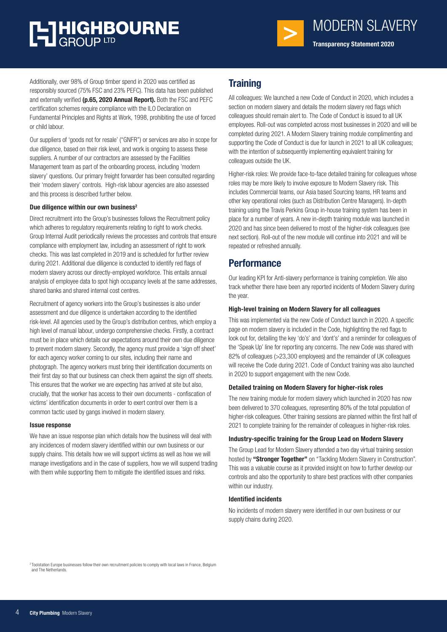## **T-THIGHBOURNE**



MODERN SLAVERY **Transparency Statement 2020**

Additionally, over 98% of Group timber spend in 2020 was certified as responsibly sourced (75% FSC and 23% PEFC). This data has been published and externally verified **(p.65, 2020 Annual Report).** Both the FSC and PEFC certification schemes require compliance with the ILO Declaration on Fundamental Principles and Rights at Work, 1998, prohibiting the use of forced or child labour.

Our suppliers of 'goods not for resale' ("GNFR") or services are also in scope for due diligence, based on their risk level, and work is ongoing to assess these suppliers. A number of our contractors are assessed by the Facilities Management team as part of the onboarding process, including 'modern slavery' questions. Our primary freight forwarder has been consulted regarding their 'modern slavery' controls. High-risk labour agencies are also assessed and this process is described further below.

#### **Due diligence within our own business2**

Direct recruitment into the Group's businesses follows the Recruitment policy which adheres to regulatory requirements relating to right to work checks. Group Internal Audit periodically reviews the processes and controls that ensure compliance with employment law, including an assessment of right to work checks. This was last completed in 2019 and is scheduled for further review during 2021. Additional due diligence is conducted to identify red flags of modern slavery across our directly-employed workforce. This entails annual analysis of employee data to spot high occupancy levels at the same addresses, shared banks and shared internal cost centres.

Recruitment of agency workers into the Group's businesses is also under assessment and due diligence is undertaken according to the identified risk-level. All agencies used by the Group's distribution centres, which employ a high level of manual labour, undergo comprehensive checks. Firstly, a contract must be in place which details our expectations around their own due diligence to prevent modern slavery. Secondly, the agency must provide a 'sign off sheet' for each agency worker coming to our sites, including their name and photograph. The agency workers must bring their identification documents on their first day so that our business can check them against the sign off sheets. This ensures that the worker we are expecting has arrived at site but also, crucially, that the worker has access to their own documents - confiscation of victims' identification documents in order to exert control over them is a common tactic used by gangs involved in modern slavery.

#### **Issue response**

We have an issue response plan which details how the business will deal with any incidences of modern slavery identified within our own business or our supply chains. This details how we will support victims as well as how we will manage investigations and in the case of suppliers, how we will suspend trading with them while supporting them to mitigate the identified issues and risks.

## **Training**

All colleagues: We launched a new Code of Conduct in 2020, which includes a section on modern slavery and details the modern slavery red flags which colleagues should remain alert to. The Code of Conduct is issued to all UK employees. Roll-out was completed across most businesses in 2020 and will be completed during 2021. A Modern Slavery training module complimenting and supporting the Code of Conduct is due for launch in 2021 to all UK colleagues; with the intention of subsequently implementing equivalent training for colleagues outside the UK.

Higher-risk roles: We provide face-to-face detailed training for colleagues whose roles may be more likely to involve exposure to Modern Slavery risk. This includes Commercial teams, our Asia based Sourcing teams, HR teams and other key operational roles (such as Distribution Centre Managers). In-depth training using the Travis Perkins Group in-house training system has been in place for a number of years. A new in-depth training module was launched in 2020 and has since been delivered to most of the higher-risk colleagues (see next section). Roll-out of the new module will continue into 2021 and will be repeated or refreshed annually.

## **Performance**

Our leading KPI for Anti-slavery performance is training completion. We also track whether there have been any reported incidents of Modern Slavery during the year.

#### **High-level training on Modern Slavery for all colleagues**

This was implemented via the new Code of Conduct launch in 2020. A specific page on modern slavery is included in the Code, highlighting the red flags to look out for, detailing the key 'do's' and 'dont's' and a reminder for colleagues of the 'Speak Up' line for reporting any concerns. The new Code was shared with 82% of colleagues (>23,300 employees) and the remainder of UK colleagues will receive the Code during 2021. Code of Conduct training was also launched in 2020 to support engagement with the new Code.

#### **Detailed training on Modern Slavery for higher-risk roles**

The new training module for modern slavery which launched in 2020 has now been delivered to 370 colleagues, representing 80% of the total population of higher-risk colleagues. Other training sessions are planned within the first half of 2021 to complete training for the remainder of colleagues in higher-risk roles.

#### **Industry-specific training for the Group Lead on Modern Slavery**

The Group Lead for Modern Slavery attended a two day virtual training session hosted by **"Stronger Together"** on "Tackling Modern Slavery in Construction". This was a valuable course as it provided insight on how to further develop our controls and also the opportunity to share best practices with other companies within our industry.

#### **Identified incidents**

No incidents of modern slavery were identified in our own business or our supply chains during 2020.

<sup>&</sup>lt;sup>2</sup> Toolstation Europe businesses follow their own recruitment policies to comply with local laws in France, Belgium and The Netherlands.